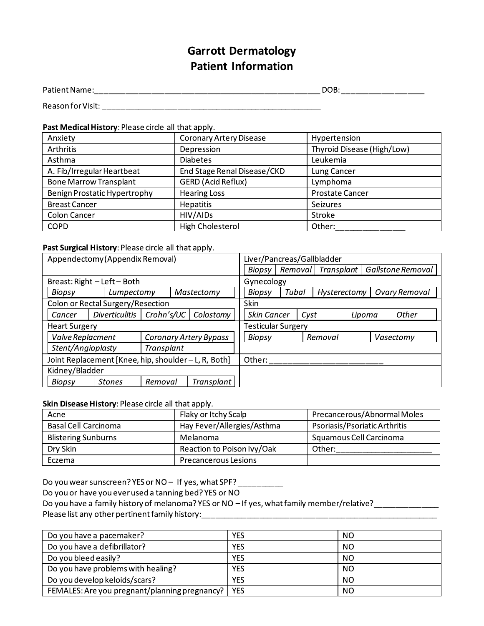# **Garrott Dermatology Patient Information**

#### Past Medical History: Please circle all that apply.

| Anxiety                       | <b>Coronary Artery Disease</b> | Hypertension               |
|-------------------------------|--------------------------------|----------------------------|
| <b>Arthritis</b>              | Depression                     | Thyroid Disease (High/Low) |
| Asthma                        | <b>Diabetes</b>                | Leukemia                   |
| A. Fib/Irregular Heartbeat    | End Stage Renal Disease/CKD    | Lung Cancer                |
| <b>Bone Marrow Transplant</b> | <b>GERD</b> (Acid Reflux)      | Lymphoma                   |
| Benign Prostatic Hypertrophy  | <b>Hearing Loss</b>            | <b>Prostate Cancer</b>     |
| <b>Breast Cancer</b>          | Hepatitis                      | Seizures                   |
| Colon Cancer                  | HIV/AIDs                       | Stroke                     |
| <b>COPD</b>                   | High Cholesterol               | Other:                     |

### Past Surgical History: Please circle all that apply. The manuscript of the control of the control of the control of the control of the control of the control of the control of the control of the control of the control of t

|                      | Appendectomy (Appendix Removal)                      |            |                        | Liver/Pancreas/Gallbladder |         |      |              |        |                   |
|----------------------|------------------------------------------------------|------------|------------------------|----------------------------|---------|------|--------------|--------|-------------------|
|                      |                                                      |            |                        | Biopsy                     | Removal |      | Transplant   |        | Gallstone Removal |
|                      | Breast: Right - Left - Both                          |            |                        | Gynecology                 |         |      |              |        |                   |
| Biopsy               | Lumpectomy                                           |            | Mastectomy             | <b>Biopsy</b>              | Tubal   |      | Hysterectomy |        | Ovary Removal     |
|                      | Colon or Rectal Surgery/Resection                    |            |                        | <b>Skin</b>                |         |      |              |        |                   |
| Cancer               | <b>Diverticulitis</b>                                | Crohn's/UC | Colostomy              | <b>Skin Cancer</b>         |         | Cyst |              | Lipoma | Other             |
| <b>Heart Surgery</b> |                                                      |            |                        | <b>Testicular Surgery</b>  |         |      |              |        |                   |
| Valve Replacment     |                                                      |            | Coronary Artery Bypass | Biopsy                     |         |      | Removal      |        | Vasectomy         |
| Stent/Angioplasty    |                                                      | Transplant |                        |                            |         |      |              |        |                   |
|                      | Joint Replacement [Knee, hip, shoulder - L, R, Both] |            |                        | Other:                     |         |      |              |        |                   |
| Kidney/Bladder       |                                                      |            |                        |                            |         |      |              |        |                   |
| <b>Biopsy</b>        | <b>Stones</b>                                        | Removal    | Transplant             |                            |         |      |              |        |                   |

#### Skin Disease History: Please circle all that apply.

| Acne                        | Flaky or Itchy Scalp        | Precancerous/Abnormal Moles   |
|-----------------------------|-----------------------------|-------------------------------|
| <b>Basal Cell Carcinoma</b> | Hay Fever/Allergies/Asthma  | Psoriasis/Psoriatic Arthritis |
| <b>Blistering Sunburns</b>  | Melanoma                    | Squamous Cell Carcinoma       |
| Dry Skin                    | Reaction to Poison Ivy/Oak  | Other:                        |
| Eczema                      | <b>Precancerous Lesions</b> |                               |

Do you wear sunscreen? YES or NO - If yes, what SPF? \_\_\_\_\_\_\_\_\_

Do you or have you ever used a tanning bed? YES or NO

Do you have a family history of melanoma? YES or NO - If yes, what family member/relative?\_\_\_\_\_\_\_\_\_\_

| Do you have a pacemaker?                      | YES        | NO.       |
|-----------------------------------------------|------------|-----------|
| Do you have a defibrillator?                  | YES        | <b>NO</b> |
| Do you bleed easily?                          | <b>YES</b> | <b>NO</b> |
| Do you have problems with healing?            | <b>YES</b> | <b>NO</b> |
| Do you develop keloids/scars?                 | <b>YES</b> | <b>NO</b> |
| FEMALES: Are you pregnant/planning pregnancy? | <b>YES</b> | <b>NO</b> |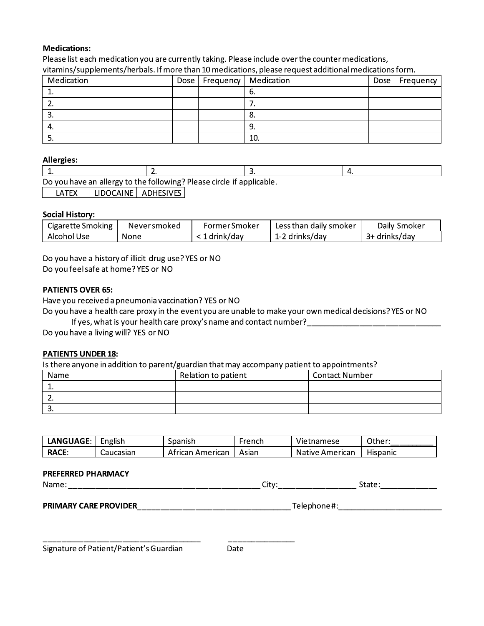# Medications:

| <b>Medications:</b>                                                   |                  |      |               |     |                                                                                                        |      |               |
|-----------------------------------------------------------------------|------------------|------|---------------|-----|--------------------------------------------------------------------------------------------------------|------|---------------|
|                                                                       |                  |      |               |     | Please list each medication you are currently taking. Please include over the counter medications,     |      |               |
|                                                                       |                  |      |               |     | vitamins/supplements/herbals. If more than 10 medications, please request additional medications form. |      |               |
| Medication                                                            |                  | Dose | Frequency     |     | Medication                                                                                             | Dose | Frequency     |
| 1.                                                                    |                  |      |               | 6.  |                                                                                                        |      |               |
| 2.                                                                    |                  |      |               | 7.  |                                                                                                        |      |               |
| 3.                                                                    |                  |      |               | 8.  |                                                                                                        |      |               |
| 4.                                                                    |                  |      |               | 9.  |                                                                                                        |      |               |
| 5.                                                                    |                  |      |               | 10. |                                                                                                        |      |               |
|                                                                       |                  |      |               |     |                                                                                                        |      |               |
| <b>Allergies:</b>                                                     |                  |      |               |     |                                                                                                        |      |               |
| 1.                                                                    | 2.               |      |               | 3.  | 4.                                                                                                     |      |               |
| Do you have an allergy to the following? Please circle if applicable. |                  |      |               |     |                                                                                                        |      |               |
| <b>LIDOCAINE</b><br><b>LATEX</b>                                      | <b>ADHESIVES</b> |      |               |     |                                                                                                        |      |               |
|                                                                       |                  |      |               |     |                                                                                                        |      |               |
| <b>Social History:</b>                                                |                  |      |               |     |                                                                                                        |      |               |
| Cigarette Smoking                                                     | Neversmoked      |      | Former Smoker |     | Less than daily smoker                                                                                 |      | Daily Smoker  |
|                                                                       |                  |      |               |     |                                                                                                        |      | 3+ drinks/day |

#### Allergies:

| <b>Allergies:</b>                                                                                         |                                                                   |               |    |                        |    |               |
|-----------------------------------------------------------------------------------------------------------|-------------------------------------------------------------------|---------------|----|------------------------|----|---------------|
| 1.                                                                                                        | 2.                                                                |               | 3. |                        | 4. |               |
| Do you have an allergy to the following? Please circle if applicable.                                     |                                                                   |               |    |                        |    |               |
| LIDOCAINE<br>LATEX                                                                                        | <b>ADHESIVES</b>                                                  |               |    |                        |    |               |
|                                                                                                           |                                                                   |               |    |                        |    |               |
| <b>Social History:</b>                                                                                    |                                                                   |               |    |                        |    |               |
| Cigarette Smoking                                                                                         | Neversmoked                                                       | Former Smoker |    | Less than daily smoker |    | Daily Smoker  |
| Alcohol Use                                                                                               | None                                                              | < 1 drink/day |    | 1-2 drinks/day         |    | 3+ drinks/day |
| Do you have a history of illicit drug use? YES or NO                                                      |                                                                   |               |    |                        |    |               |
| Do you feel safe at home? YES or NO                                                                       |                                                                   |               |    |                        |    |               |
|                                                                                                           |                                                                   |               |    |                        |    |               |
| <b>PATIENTS OVER 65:</b>                                                                                  |                                                                   |               |    |                        |    |               |
| Have you received a pneumonia vaccination? YES or NO                                                      |                                                                   |               |    |                        |    |               |
| Do you have a health care proxy in the event you are unable to make your own medical decisions? YES or NO | If yes, what is your health care proxy's name and contact number? |               |    |                        |    |               |

| LIDOCAINE LADHESIVES<br>LATEX |
|-------------------------------|
|-------------------------------|

## <u>Social History:</u>

| Cigarette Smoking | – Never smoked | -rormer Smoker | Less than daily smoker  | Daily Smoker       |
|-------------------|----------------|----------------|-------------------------|--------------------|
| Alcohol Use       | None           | . drink/dav    | . drinks/day<br>$1 - 2$ | drinks/day -<br>3+ |

## <u>PATIENTS OVER 65</u>:

## <u>PATIENTS UNDER 18</u>:

|                           | Do you have a living will? YES or NO | If yes, what is your health care proxy's name and contact number? |        | Do you have a health care proxy in the event you are unable to make your own medical decisions? YES or NO |          |
|---------------------------|--------------------------------------|-------------------------------------------------------------------|--------|-----------------------------------------------------------------------------------------------------------|----------|
| <b>PATIENTS UNDER 18:</b> |                                      |                                                                   |        |                                                                                                           |          |
|                           |                                      |                                                                   |        | Is there anyone in addition to parent/guardian that may accompany patient to appointments?                |          |
| <b>Name</b>               |                                      | Relation to patient                                               |        | <b>Contact Number</b>                                                                                     |          |
| 1.                        |                                      |                                                                   |        |                                                                                                           |          |
|                           |                                      |                                                                   |        |                                                                                                           |          |
| 3.                        |                                      |                                                                   |        |                                                                                                           |          |
| LANGUAGE:                 | English                              | Spanish                                                           | French | Vietnamese                                                                                                | Other:   |
| <b>RACE:</b>              | Caucasian                            | African American                                                  | Asian  | Native American                                                                                           | Hispanic |

| <b>LANGUAGE</b> | -<br>English | Spanish            | French | .<br>Vietnamese    | ीther:        |
|-----------------|--------------|--------------------|--------|--------------------|---------------|
| RACE.           | Caucasian    | American<br>trican | Asian  | Native<br>American | .<br>Hispanic |

### PREFERRED PHARMACY

| יי<br>______ |  |
|--------------|--|
|              |  |

### NUP5U~|5UQNUSTPtQU{{{{{{{{{{{{{{{{{{{{{{{{{{{{{{{{{{{=
#z{{{{{{{{{{{{{{{{{{{{{{{{

 $-1}} -1)$  . The state of the state of the state of the state of the state of the state of the state of the state of the state of the state of the state of the state of the state of the state of the state of the state of the Signature of Patient/Patient's Guardian Theodore Date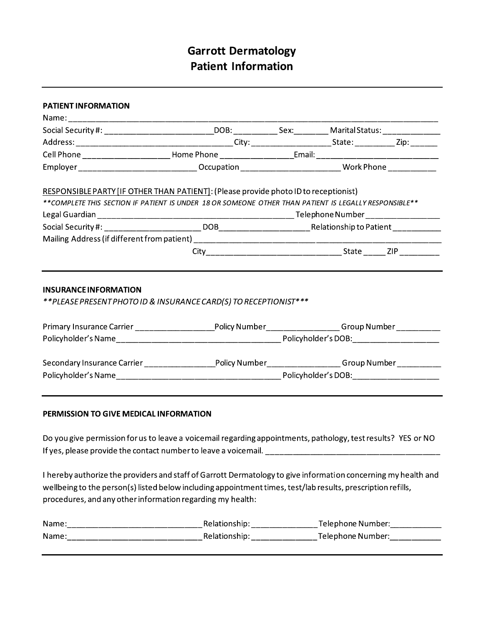# **Garrott Dermatology Patient Information**

|                              | Social Security #: _____________________________DOB: ____________Sex:___________Marital Status: ______________ |  |  |
|------------------------------|----------------------------------------------------------------------------------------------------------------|--|--|
|                              |                                                                                                                |  |  |
|                              | Cell Phone __________________________Home Phone _____________________Email: _____________________________      |  |  |
|                              | Employer_______________________________Occupation ______________________________ Work Phone _____________      |  |  |
|                              | RESPONSIBLE PARTY [IF OTHER THAN PATIENT]: (Please provide photo ID to receptionist)                           |  |  |
|                              | ** COMPLETE THIS SECTION IF PATIENT IS UNDER 18 OR SOMEONE OTHER THAN PATIENT IS LEGALLY RESPONSIBLE**         |  |  |
|                              |                                                                                                                |  |  |
|                              |                                                                                                                |  |  |
|                              |                                                                                                                |  |  |
|                              |                                                                                                                |  |  |
|                              |                                                                                                                |  |  |
| <b>INSURANCE INFORMATION</b> | ** PLEASE PRESENT PHOTO ID & INSURANCE CARD(S) TO RECEPTIONIST ***                                             |  |  |
|                              |                                                                                                                |  |  |
|                              | Primary Insurance Carrier ______________________Policy Number__________________Group Number_________           |  |  |
|                              |                                                                                                                |  |  |
|                              | Secondary Insurance Carrier ______________________Policy Number__________________ Group Number ___________     |  |  |
|                              |                                                                                                                |  |  |
|                              |                                                                                                                |  |  |

If yes, please provide the contact number to leave a voicemail. \_\_\_\_\_\_\_\_\_\_\_\_\_\_\_\_\_\_\_\_\_\_\_\_\_\_\_\_\_\_\_\_\_\_\_ I hereby authorize the providers and staff of Garrott Dermatology to give information concerning my health and

wellbeing to the person(s) listed below including appointment times, test/lab results, prescription refills, procedures, and any other information regarding my health:

| Name |                           | Telephone Number: |
|------|---------------------------|-------------------|
| Name | Relationship <sup>.</sup> | Telephone Number: |